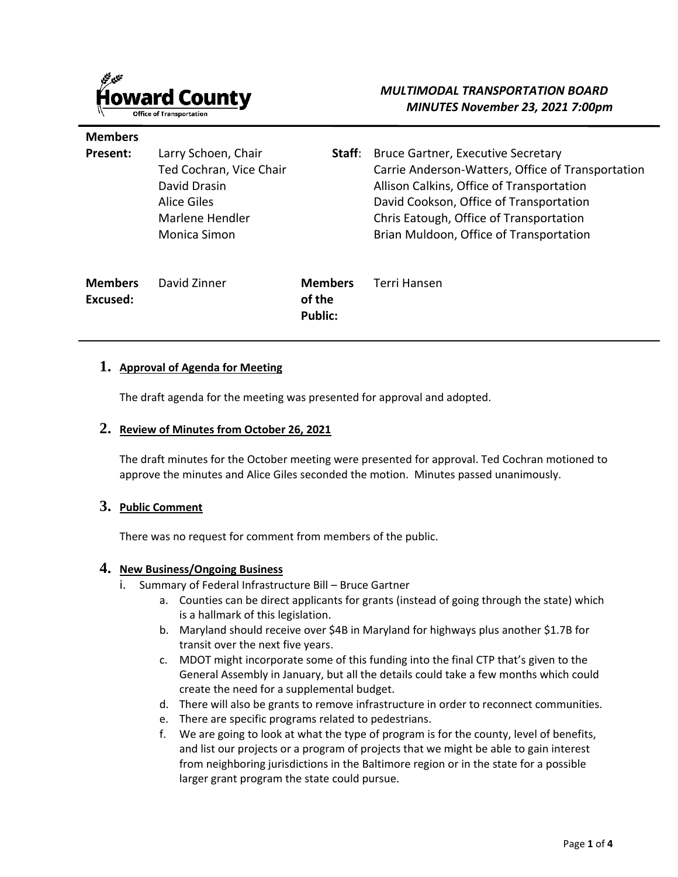

**Members** 

# *MULTIMODAL TRANSPORTATION BOARD MINUTES November 23, 2021 7:00pm*

| Present:                   | Larry Schoen, Chair<br>Ted Cochran, Vice Chair<br>David Drasin<br>Alice Giles<br>Marlene Hendler<br>Monica Simon | Staff:                                     | Bruce Gartner, Executive Secretary<br>Carrie Anderson-Watters, Office of Transportation<br>Allison Calkins, Office of Transportation<br>David Cookson, Office of Transportation<br>Chris Eatough, Office of Transportation<br>Brian Muldoon, Office of Transportation |
|----------------------------|------------------------------------------------------------------------------------------------------------------|--------------------------------------------|-----------------------------------------------------------------------------------------------------------------------------------------------------------------------------------------------------------------------------------------------------------------------|
| <b>Members</b><br>Excused: | David Zinner                                                                                                     | <b>Members</b><br>of the<br><b>Public:</b> | Terri Hansen                                                                                                                                                                                                                                                          |

#### **1. Approval of Agenda for Meeting**

The draft agenda for the meeting was presented for approval and adopted.

#### **2. Review of Minutes from October 26, 2021**

The draft minutes for the October meeting were presented for approval. Ted Cochran motioned to approve the minutes and Alice Giles seconded the motion. Minutes passed unanimously.

#### **3. Public Comment**

There was no request for comment from members of the public.

#### **4. New Business/Ongoing Business**

- i. Summary of Federal Infrastructure Bill Bruce Gartner
	- a. Counties can be direct applicants for grants (instead of going through the state) which is a hallmark of this legislation.
	- b. Maryland should receive over \$4B in Maryland for highways plus another \$1.7B for transit over the next five years.
	- c. MDOT might incorporate some of this funding into the final CTP that's given to the General Assembly in January, but all the details could take a few months which could create the need for a supplemental budget.
	- d. There will also be grants to remove infrastructure in order to reconnect communities.
	- e. There are specific programs related to pedestrians.
	- f. We are going to look at what the type of program is for the county, level of benefits, and list our projects or a program of projects that we might be able to gain interest from neighboring jurisdictions in the Baltimore region or in the state for a possible larger grant program the state could pursue.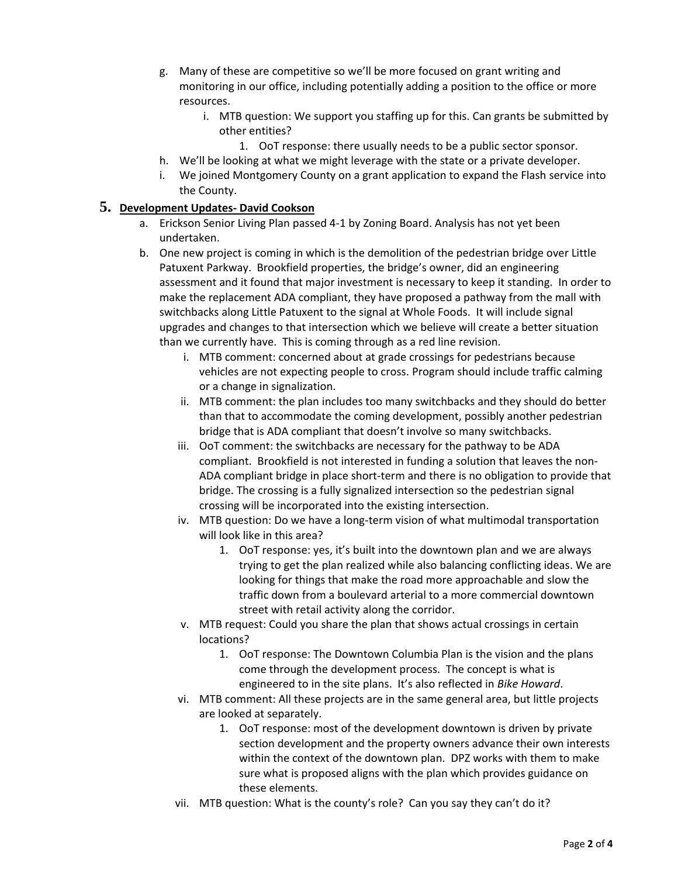- g. Many of these are competitive so we'll be more focused on grant writing and monitoring in our office, including potentially adding a position to the office or more resources.
	- i. MTB question: We support you staffing up for this. Can grants be submitted by other entities?
		- 1. OoT response: there usually needs to be a public sector sponsor.
- h. We'll be looking at what we might leverage with the state or a private developer.
- i. We joined Montgomery County on a grant application to expand the Flash service into the County.

#### **5. Development Updates- David Cookson**

- a. Erickson Senior Living Plan passed 4-1 by Zoning Board. Analysis has not yet been undertaken.
- b. One new project is coming in which is the demolition of the pedestrian bridge over Little Patuxent Parkway. Brookfield properties, the bridge's owner, did an engineering assessment and it found that major investment is necessary to keep it standing. In order to make the replacement ADA compliant, they have proposed a pathway from the mall with switchbacks along Little Patuxent to the signal at Whole Foods. It will include signal upgrades and changes to that intersection which we believe will create a better situation than we currently have. This is coming through as a red line revision.
	- i. MTB comment: concerned about at grade crossings for pedestrians because vehicles are not expecting people to cross. Program should include traffic calming or a change in signalization.
	- ii. MTB comment: the plan includes too many switchbacks and they should do better than that to accommodate the coming development, possibly another pedestrian bridge that is ADA compliant that doesn't involve so many switchbacks.
	- iii. OoT comment: the switchbacks are necessary for the pathway to be ADA compliant. Brookfield is not interested in funding a solution that leaves the non-ADA compliant bridge in place short-term and there is no obligation to provide that bridge. The crossing is a fully signalized intersection so the pedestrian signal crossing will be incorporated into the existing intersection.
	- iv. MTB question: Do we have a long-term vision of what multimodal transportation will look like in this area?
		- 1. OoT response: yes, it's built into the downtown plan and we are always trying to get the plan realized while also balancing conflicting ideas. We are looking for things that make the road more approachable and slow the traffic down from a boulevard arterial to a more commercial downtown street with retail activity along the corridor.
	- v. MTB request: Could you share the plan that shows actual crossings in certain locations?
		- 1. OoT response: The Downtown Columbia Plan is the vision and the plans come through the development process. The concept is what is engineered to in the site plans. It's also reflected in *Bike Howard*.
	- vi. MTB comment: All these projects are in the same general area, but little projects are looked at separately.
		- 1. OoT response: most of the development downtown is driven by private section development and the property owners advance their own interests within the context of the downtown plan. DPZ works with them to make sure what is proposed aligns with the plan which provides guidance on these elements.
	- vii. MTB question: What is the county's role? Can you say they can't do it?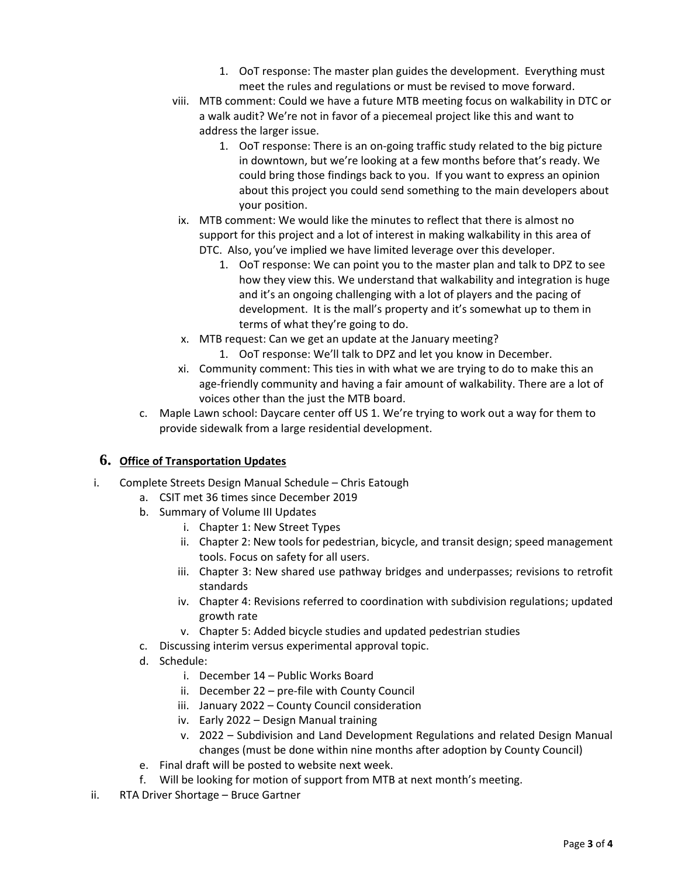- 1. OoT response: The master plan guides the development. Everything must meet the rules and regulations or must be revised to move forward.
- viii. MTB comment: Could we have a future MTB meeting focus on walkability in DTC or a walk audit? We're not in favor of a piecemeal project like this and want to address the larger issue.
	- 1. OoT response: There is an on-going traffic study related to the big picture in downtown, but we're looking at a few months before that's ready. We could bring those findings back to you. If you want to express an opinion about this project you could send something to the main developers about your position.
- ix. MTB comment: We would like the minutes to reflect that there is almost no support for this project and a lot of interest in making walkability in this area of DTC. Also, you've implied we have limited leverage over this developer.
	- 1. OoT response: We can point you to the master plan and talk to DPZ to see how they view this. We understand that walkability and integration is huge and it's an ongoing challenging with a lot of players and the pacing of development. It is the mall's property and it's somewhat up to them in terms of what they're going to do.
- x. MTB request: Can we get an update at the January meeting?
	- 1. OoT response: We'll talk to DPZ and let you know in December.
- xi. Community comment: This ties in with what we are trying to do to make this an age-friendly community and having a fair amount of walkability. There are a lot of voices other than the just the MTB board.
- c. Maple Lawn school: Daycare center off US 1. We're trying to work out a way for them to provide sidewalk from a large residential development.

### **6. Office of Transportation Updates**

- i. Complete Streets Design Manual Schedule Chris Eatough
	- a. CSIT met 36 times since December 2019
	- b. Summary of Volume III Updates
		- i. Chapter 1: New Street Types
		- ii. Chapter 2: New tools for pedestrian, bicycle, and transit design; speed management tools. Focus on safety for all users.
		- iii. Chapter 3: New shared use pathway bridges and underpasses; revisions to retrofit standards
		- iv. Chapter 4: Revisions referred to coordination with subdivision regulations; updated growth rate
		- v. Chapter 5: Added bicycle studies and updated pedestrian studies
	- c. Discussing interim versus experimental approval topic.
	- d. Schedule:
		- i. December 14 Public Works Board
		- ii. December 22 pre-file with County Council
		- iii. January 2022 County Council consideration
		- iv. Early 2022 Design Manual training
		- v. 2022 Subdivision and Land Development Regulations and related Design Manual changes (must be done within nine months after adoption by County Council)
	- e. Final draft will be posted to website next week.
	- f. Will be looking for motion of support from MTB at next month's meeting.
- ii. RTA Driver Shortage Bruce Gartner